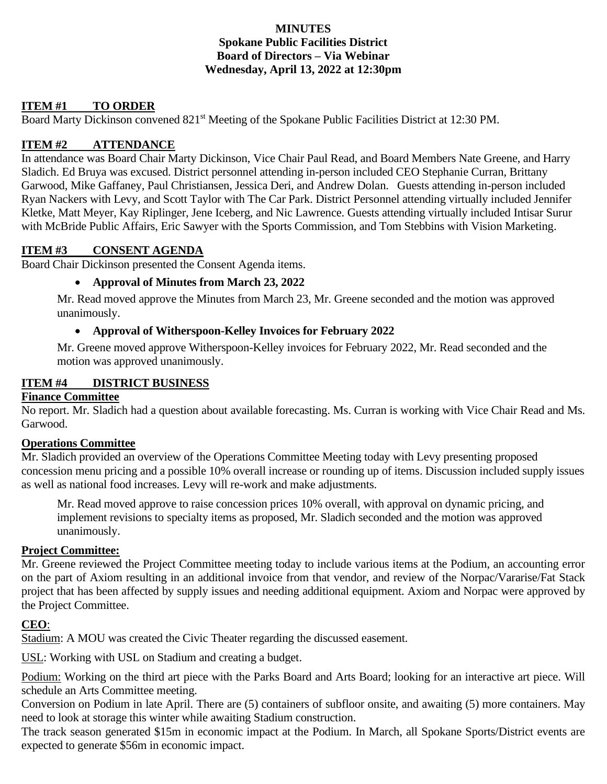## **MINUTES Spokane Public Facilities District Board of Directors – Via Webinar Wednesday, April 13, 2022 at 12:30pm**

# **ITEM #1 TO ORDER**

Board Marty Dickinson convened 821<sup>st</sup> Meeting of the Spokane Public Facilities District at 12:30 PM.

## **ITEM #2 ATTENDANCE**

In attendance was Board Chair Marty Dickinson, Vice Chair Paul Read, and Board Members Nate Greene, and Harry Sladich. Ed Bruya was excused. District personnel attending in-person included CEO Stephanie Curran, Brittany Garwood, Mike Gaffaney, Paul Christiansen, Jessica Deri, and Andrew Dolan. Guests attending in-person included Ryan Nackers with Levy, and Scott Taylor with The Car Park. District Personnel attending virtually included Jennifer Kletke, Matt Meyer, Kay Riplinger, Jene Iceberg, and Nic Lawrence. Guests attending virtually included Intisar Surur with McBride Public Affairs, Eric Sawyer with the Sports Commission, and Tom Stebbins with Vision Marketing.

## **ITEM #3 CONSENT AGENDA**

Board Chair Dickinson presented the Consent Agenda items.

## • **Approval of Minutes from March 23, 2022**

Mr. Read moved approve the Minutes from March 23, Mr. Greene seconded and the motion was approved unanimously.

## • **Approval of Witherspoon-Kelley Invoices for February 2022**

Mr. Greene moved approve Witherspoon-Kelley invoices for February 2022, Mr. Read seconded and the motion was approved unanimously.

## **ITEM #4 DISTRICT BUSINESS**

## **Finance Committee**

No report. Mr. Sladich had a question about available forecasting. Ms. Curran is working with Vice Chair Read and Ms. Garwood.

#### **Operations Committee**

Mr. Sladich provided an overview of the Operations Committee Meeting today with Levy presenting proposed concession menu pricing and a possible 10% overall increase or rounding up of items. Discussion included supply issues as well as national food increases. Levy will re-work and make adjustments.

Mr. Read moved approve to raise concession prices 10% overall, with approval on dynamic pricing, and implement revisions to specialty items as proposed, Mr. Sladich seconded and the motion was approved unanimously.

#### **Project Committee:**

Mr. Greene reviewed the Project Committee meeting today to include various items at the Podium, an accounting error on the part of Axiom resulting in an additional invoice from that vendor, and review of the Norpac/Vararise/Fat Stack project that has been affected by supply issues and needing additional equipment. Axiom and Norpac were approved by the Project Committee.

## **CEO**:

Stadium: A MOU was created the Civic Theater regarding the discussed easement.

USL: Working with USL on Stadium and creating a budget.

Podium: Working on the third art piece with the Parks Board and Arts Board; looking for an interactive art piece. Will schedule an Arts Committee meeting.

Conversion on Podium in late April. There are (5) containers of subfloor onsite, and awaiting (5) more containers. May need to look at storage this winter while awaiting Stadium construction.

The track season generated \$15m in economic impact at the Podium. In March, all Spokane Sports/District events are expected to generate \$56m in economic impact.